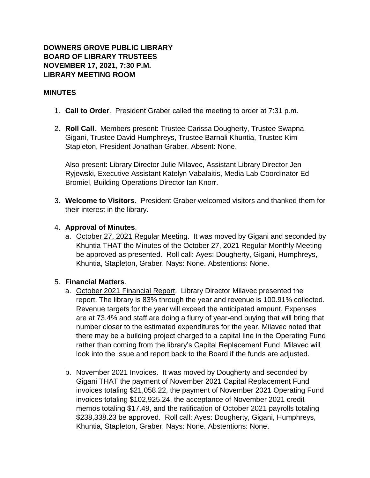## **DOWNERS GROVE PUBLIC LIBRARY BOARD OF LIBRARY TRUSTEES NOVEMBER 17, 2021, 7:30 P.M. LIBRARY MEETING ROOM**

### **MINUTES**

- 1. **Call to Order**. President Graber called the meeting to order at 7:31 p.m.
- 2. **Roll Call**. Members present: Trustee Carissa Dougherty, Trustee Swapna Gigani, Trustee David Humphreys, Trustee Barnali Khuntia, Trustee Kim Stapleton, President Jonathan Graber. Absent: None.

Also present: Library Director Julie Milavec, Assistant Library Director Jen Ryjewski, Executive Assistant Katelyn Vabalaitis, Media Lab Coordinator Ed Bromiel, Building Operations Director Ian Knorr.

3. **Welcome to Visitors**. President Graber welcomed visitors and thanked them for their interest in the library.

#### 4. **Approval of Minutes**.

a. October 27, 2021 Regular Meeting. It was moved by Gigani and seconded by Khuntia THAT the Minutes of the October 27, 2021 Regular Monthly Meeting be approved as presented. Roll call: Ayes: Dougherty, Gigani, Humphreys, Khuntia, Stapleton, Graber. Nays: None. Abstentions: None.

#### 5. **Financial Matters**.

- a. October 2021 Financial Report. Library Director Milavec presented the report. The library is 83% through the year and revenue is 100.91% collected. Revenue targets for the year will exceed the anticipated amount. Expenses are at 73.4% and staff are doing a flurry of year-end buying that will bring that number closer to the estimated expenditures for the year. Milavec noted that there may be a building project charged to a capital line in the Operating Fund rather than coming from the library's Capital Replacement Fund. Milavec will look into the issue and report back to the Board if the funds are adjusted.
- b. November 2021 Invoices. It was moved by Dougherty and seconded by Gigani THAT the payment of November 2021 Capital Replacement Fund invoices totaling \$21,058.22, the payment of November 2021 Operating Fund invoices totaling \$102,925.24, the acceptance of November 2021 credit memos totaling \$17.49, and the ratification of October 2021 payrolls totaling \$238,338.23 be approved. Roll call: Ayes: Dougherty, Gigani, Humphreys, Khuntia, Stapleton, Graber. Nays: None. Abstentions: None.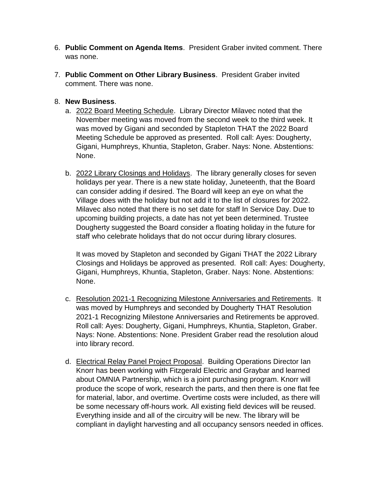- 6. **Public Comment on Agenda Items**. President Graber invited comment. There was none.
- 7. **Public Comment on Other Library Business**. President Graber invited comment. There was none.
- 8. **New Business**.
	- a. 2022 Board Meeting Schedule. Library Director Milavec noted that the November meeting was moved from the second week to the third week. It was moved by Gigani and seconded by Stapleton THAT the 2022 Board Meeting Schedule be approved as presented. Roll call: Ayes: Dougherty, Gigani, Humphreys, Khuntia, Stapleton, Graber. Nays: None. Abstentions: None.
	- b. 2022 Library Closings and Holidays. The library generally closes for seven holidays per year. There is a new state holiday, Juneteenth, that the Board can consider adding if desired. The Board will keep an eye on what the Village does with the holiday but not add it to the list of closures for 2022. Milavec also noted that there is no set date for staff In Service Day. Due to upcoming building projects, a date has not yet been determined. Trustee Dougherty suggested the Board consider a floating holiday in the future for staff who celebrate holidays that do not occur during library closures.

It was moved by Stapleton and seconded by Gigani THAT the 2022 Library Closings and Holidays be approved as presented. Roll call: Ayes: Dougherty, Gigani, Humphreys, Khuntia, Stapleton, Graber. Nays: None. Abstentions: None.

- c. Resolution 2021-1 Recognizing Milestone Anniversaries and Retirements. It was moved by Humphreys and seconded by Dougherty THAT Resolution 2021-1 Recognizing Milestone Anniversaries and Retirements be approved. Roll call: Ayes: Dougherty, Gigani, Humphreys, Khuntia, Stapleton, Graber. Nays: None. Abstentions: None. President Graber read the resolution aloud into library record.
- d. Electrical Relay Panel Project Proposal. Building Operations Director Ian Knorr has been working with Fitzgerald Electric and Graybar and learned about OMNIA Partnership, which is a joint purchasing program. Knorr will produce the scope of work, research the parts, and then there is one flat fee for material, labor, and overtime. Overtime costs were included, as there will be some necessary off-hours work. All existing field devices will be reused. Everything inside and all of the circuitry will be new. The library will be compliant in daylight harvesting and all occupancy sensors needed in offices.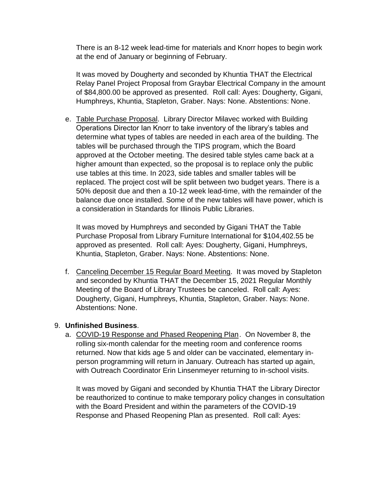There is an 8-12 week lead-time for materials and Knorr hopes to begin work at the end of January or beginning of February.

It was moved by Dougherty and seconded by Khuntia THAT the Electrical Relay Panel Project Proposal from Graybar Electrical Company in the amount of \$84,800.00 be approved as presented. Roll call: Ayes: Dougherty, Gigani, Humphreys, Khuntia, Stapleton, Graber. Nays: None. Abstentions: None.

e. Table Purchase Proposal. Library Director Milavec worked with Building Operations Director Ian Knorr to take inventory of the library's tables and determine what types of tables are needed in each area of the building. The tables will be purchased through the TIPS program, which the Board approved at the October meeting. The desired table styles came back at a higher amount than expected, so the proposal is to replace only the public use tables at this time. In 2023, side tables and smaller tables will be replaced. The project cost will be split between two budget years. There is a 50% deposit due and then a 10-12 week lead-time, with the remainder of the balance due once installed. Some of the new tables will have power, which is a consideration in Standards for Illinois Public Libraries.

It was moved by Humphreys and seconded by Gigani THAT the Table Purchase Proposal from Library Furniture International for \$104,402.55 be approved as presented. Roll call: Ayes: Dougherty, Gigani, Humphreys, Khuntia, Stapleton, Graber. Nays: None. Abstentions: None.

f. Canceling December 15 Regular Board Meeting. It was moved by Stapleton and seconded by Khuntia THAT the December 15, 2021 Regular Monthly Meeting of the Board of Library Trustees be canceled. Roll call: Ayes: Dougherty, Gigani, Humphreys, Khuntia, Stapleton, Graber. Nays: None. Abstentions: None.

#### 9. **Unfinished Business**.

a. COVID-19 Response and Phased Reopening Plan. On November 8, the rolling six-month calendar for the meeting room and conference rooms returned. Now that kids age 5 and older can be vaccinated, elementary inperson programming will return in January. Outreach has started up again, with Outreach Coordinator Erin Linsenmeyer returning to in-school visits.

It was moved by Gigani and seconded by Khuntia THAT the Library Director be reauthorized to continue to make temporary policy changes in consultation with the Board President and within the parameters of the COVID-19 Response and Phased Reopening Plan as presented. Roll call: Ayes: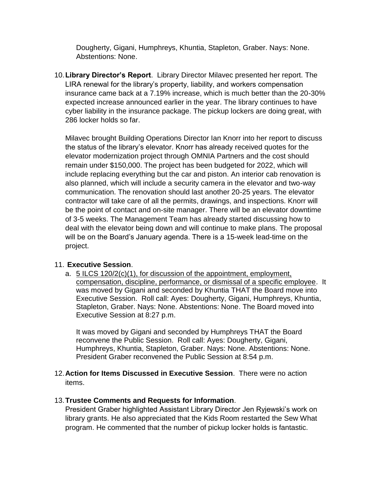Dougherty, Gigani, Humphreys, Khuntia, Stapleton, Graber. Nays: None. Abstentions: None.

10.**Library Director's Report**. Library Director Milavec presented her report. The LIRA renewal for the library's property, liability, and workers compensation insurance came back at a 7.19% increase, which is much better than the 20-30% expected increase announced earlier in the year. The library continues to have cyber liability in the insurance package. The pickup lockers are doing great, with 286 locker holds so far.

Milavec brought Building Operations Director Ian Knorr into her report to discuss the status of the library's elevator. Knorr has already received quotes for the elevator modernization project through OMNIA Partners and the cost should remain under \$150,000. The project has been budgeted for 2022, which will include replacing everything but the car and piston. An interior cab renovation is also planned, which will include a security camera in the elevator and two-way communication. The renovation should last another 20-25 years. The elevator contractor will take care of all the permits, drawings, and inspections. Knorr will be the point of contact and on-site manager. There will be an elevator downtime of 3-5 weeks. The Management Team has already started discussing how to deal with the elevator being down and will continue to make plans. The proposal will be on the Board's January agenda. There is a 15-week lead-time on the project.

# 11. **Executive Session**.

a. 5 ILCS 120/2(c)(1), for discussion of the appointment, employment, compensation, discipline, performance, or dismissal of a specific employee. It was moved by Gigani and seconded by Khuntia THAT the Board move into Executive Session. Roll call: Ayes: Dougherty, Gigani, Humphreys, Khuntia, Stapleton, Graber. Nays: None. Abstentions: None. The Board moved into Executive Session at 8:27 p.m.

It was moved by Gigani and seconded by Humphreys THAT the Board reconvene the Public Session. Roll call: Ayes: Dougherty, Gigani, Humphreys, Khuntia, Stapleton, Graber. Nays: None. Abstentions: None. President Graber reconvened the Public Session at 8:54 p.m.

12.**Action for Items Discussed in Executive Session**. There were no action items.

#### 13.**Trustee Comments and Requests for Information**.

President Graber highlighted Assistant Library Director Jen Ryjewski's work on library grants. He also appreciated that the Kids Room restarted the Sew What program. He commented that the number of pickup locker holds is fantastic.